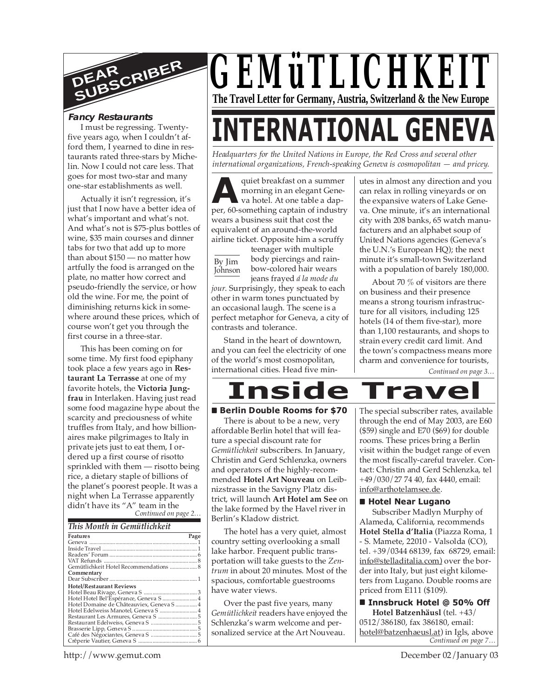

#### **Fancy Restaurants**

I must be regressing. Twentyfive years ago, when I couldn't afford them, I yearned to dine in restaurants rated three-stars by Michelin. Now I could not care less. That goes for most two-star and many one-star establishments as well.

Actually it isn't regression, it's just that I now have a better idea of what's important and what's not. And what's not is \$75-plus bottles of wine, \$35 main courses and dinner tabs for two that add up to more than about \$150 — no matter how artfully the food is arranged on the plate, no matter how correct and pseudo-friendly the service, or how old the wine. For me, the point of diminishing returns kick in somewhere around these prices, which of course won't get you through the first course in a three-star.

*Continued on page 2…* This has been coming on for some time. My first food epiphany took place a few years ago in **Restaurant La Terrasse** at one of my favorite hotels, the **Victoria Jungfrau** in Interlaken. Having just read some food magazine hype about the scarcity and preciousness of white truffles from Italy, and how billionaires make pilgrimages to Italy in private jets just to eat them, I ordered up a first course of risotto sprinkled with them — risotto being rice, a dietary staple of billions of the planet's poorest people. It was a night when La Terrasse apparently didn't have its "A" team in the

| This Month in Gemütlichkeit |
|-----------------------------|
|-----------------------------|

| Features                                  | Page |
|-------------------------------------------|------|
|                                           |      |
|                                           |      |
|                                           |      |
|                                           |      |
| Gemütlichkeit Hotel Recommendations  8    |      |
| Commentary                                |      |
|                                           |      |
| <b>Hotel/Restaurant Reviews</b>           |      |
|                                           |      |
| Hotel Hotel Bel'Espérance, Geneva S  4    |      |
| Hotel Domaine de Châteauviex, Geneva S  4 |      |
| Hotel Edelweiss Manotel, Geneva S  4      |      |
|                                           |      |
|                                           |      |
|                                           |      |
|                                           |      |
|                                           |      |



# **INTERNATIONAL GENEVA**

*Headquarters for the United Nations in Europe, the Red Cross and several other international organizations, French-speaking Geneva is cosmopolitan — and pricey.*

quiet breakfast on a summer<br>morning in an elegant Gene-<br>va hotel. At one table a dap-<br>per, 60-something captain of industry quiet breakfast on a summer morning in an elegant Geneva hotel. At one table a dapwears a business suit that cost the equivalent of an around-the-world airline ticket. Opposite him a scruffy

By Jim Johnson

teenager with multiple body piercings and rainbow-colored hair wears jeans frayed *á la mode du*

*jour*. Surprisingly, they speak to each other in warm tones punctuated by an occasional laugh. The scene is a perfect metaphor for Geneva, a city of contrasts and tolerance.

Stand in the heart of downtown, and you can feel the electricity of one of the world's most cosmopolitan, international cities. Head five min-

utes in almost any direction and you can relax in rolling vineyards or on the expansive waters of Lake Geneva. One minute, it's an international city with 208 banks, 65 watch manufacturers and an alphabet soup of United Nations agencies (Geneva's the U.N.'s European HQ); the next minute it's small-town Switzerland with a population of barely 180,000.

About 70 % of visitors are there on business and their presence means a strong tourism infrastructure for all visitors, including 125 hotels (14 of them five-star), more than 1,100 restaurants, and shops to strain every credit card limit. And the town's compactness means more charm and convenience for tourists,

*Continued on page 3…*



#### ■ Berlin Double Rooms for \$70

There is about to be a new, very affordable Berlin hotel that will feature a special discount rate for *Gemütlichkeit* subscribers. In January, Christin and Gerd Schlenzka, owners and operators of the highly-recommended **Hotel Art Nouveau** on Leibnizstrasse in the Savigny Platz district, will launch **Art Hotel am See** on the lake formed by the Havel river in Berlin's Kladow district.

The hotel has a very quiet, almost country setting overlooking a small lake harbor. Frequent public transportation will take guests to the *Zentrum* in about 20 minutes. Most of the spacious, comfortable guestrooms have water views.

Over the past five years, many *Gemütlichkeit* readers have enjoyed the Schlenzka's warm welcome and personalized service at the Art Nouveau.

The special subscriber rates, available through the end of May 2003, are E60 (\$59) single and E70 (\$69) for double rooms. These prices bring a Berlin visit within the budget range of even the most fiscally-careful traveler. Contact: Christin and Gerd Schlenzka, tel +49/030/27 74 40, fax 4440, email: info@arthotelamsee.de.

#### **Hotel Near Lugano**

Subscriber Madlyn Murphy of Alameda, California, recommends **Hotel Stella d'Italia** (Piazza Roma, 1 - S. Mamete, 22010 - Valsolda (CO), tel. +39/0344 68139, fax 68729, email: info@stelladitalia.com) over the border into Italy, but just eight kilometers from Lugano. Double rooms are priced from E111 (\$109).

*Continued on page 7…*  **Innsbruck Hotel @ 50% Off Hotel Batzenhäusl** (tel. +43/ 0512/386180, fax 386180, email: hotel@batzenhaeusl.at) in Igls, above

http://www.gemut.com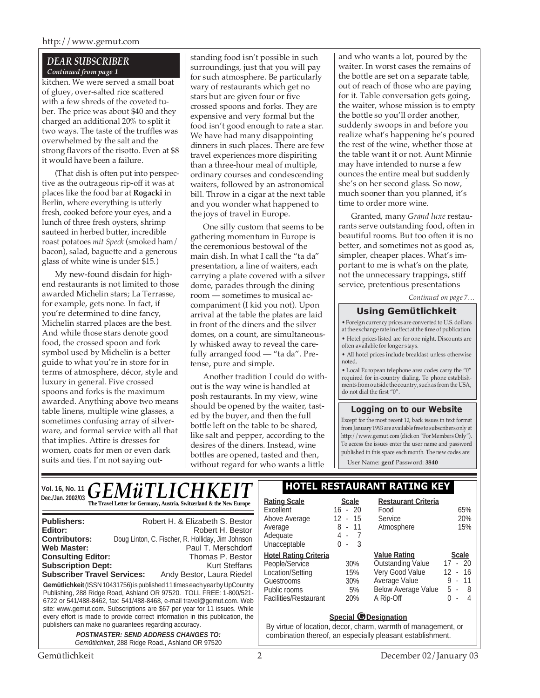## *DEAR SUBSCRIBER Continued from page 1*

kitchen. We were served a small boat of gluey, over-salted rice scattered with a few shreds of the coveted tuber. The price was about \$40 and they charged an additional 20% to split it two ways. The taste of the truffles was overwhelmed by the salt and the strong flavors of the risotto. Even at \$8 it would have been a failure.

(That dish is often put into perspective as the outrageous rip-off it was at places like the food bar at **Rogacki** in Berlin, where everything is utterly fresh, cooked before your eyes, and a lunch of three fresh oysters, shrimp sauteed in herbed butter, incredible roast potatoes *mit Speck* (smoked ham/ bacon), salad, baguette and a generous glass of white wine is under \$15.)

My new-found disdain for highend restaurants is not limited to those awarded Michelin stars; La Terrasse, for example, gets none. In fact, if you're determined to dine fancy, Michelin starred places are the best. And while those stars denote good food, the crossed spoon and fork symbol used by Michelin is a better guide to what you're in store for in terms of atmosphere, décor, style and luxury in general. Five crossed spoons and forks is the maximum awarded. Anything above two means table linens, multiple wine glasses, a sometimes confusing array of silverware, and formal service with all that that implies. Attire is dresses for women, coats for men or even dark suits and ties. I'm not saying out-

standing food isn't possible in such surroundings, just that you will pay for such atmosphere. Be particularly wary of restaurants which get no stars but are given four or five crossed spoons and forks. They are expensive and very formal but the food isn't good enough to rate a star. We have had many disappointing dinners in such places. There are few travel experiences more dispiriting than a three-hour meal of multiple, ordinary courses and condescending waiters, followed by an astronomical bill. Throw in a cigar at the next table and you wonder what happened to the joys of travel in Europe.

One silly custom that seems to be gathering momentum in Europe is the ceremonious bestowal of the main dish. In what I call the "ta da" presentation, a line of waiters, each carrying a plate covered with a silver dome, parades through the dining room — sometimes to musical accompaniment (I kid you not). Upon arrival at the table the plates are laid in front of the diners and the silver domes, on a count, are simultaneously whisked away to reveal the carefully arranged food — "ta da". Pretense, pure and simple.

Another tradition I could do without is the way wine is handled at posh restaurants. In my view, wine should be opened by the waiter, tasted by the buyer, and then the full bottle left on the table to be shared, like salt and pepper, according to the desires of the diners. Instead, wine bottles are opened, tasted and then, without regard for who wants a little

and who wants a lot, poured by the waiter. In worst cases the remains of the bottle are set on a separate table, out of reach of those who are paying for it. Table conversation gets going, the waiter, whose mission is to empty the bottle so you'll order another, suddenly swoops in and before you realize what's happening he's poured the rest of the wine, whether those at the table want it or not. Aunt Minnie may have intended to nurse a few ounces the entire meal but suddenly she's on her second glass. So now, much sooner than you planned, it's time to order more wine.

Granted, many *Grand luxe* restaurants serve outstanding food, often in beautiful rooms. But too often it is no better, and sometimes not as good as, simpler, cheaper places. What's important to me is what's on the plate, not the unnecessary trappings, stiff service, pretentious presentations

*Continued on page 7…*

# **Using Gemütlichkeit**

• Foreign currency prices are converted to U.S. dollars at the exchange rate in effect at the time of publication. • Hotel prices listed are for one night. Discounts are often available for longer stays.

• All hotel prices include breakfast unless otherwise noted.

• Local European telephone area codes carry the "0" required for in-country dialing. To phone establishments from outside the country, such as from the USA, do not dial the first "0".

## **Logging on to our Website**

Except for the most recent 12, back issues in text format from January 1993 are available free to subscribers only at http://www.gemut.com (click on "For Members Only"). To access the issues enter the user name and password published in this space each month. The new codes are:

User Name: **genf** Password: **3840**

|                                                       | VOI. 16, No. 11 $GEM\ddot{u}TLICHKEIT$ )                                                                 | <b>HOTEL RESTAU</b>                                     |                             |
|-------------------------------------------------------|----------------------------------------------------------------------------------------------------------|---------------------------------------------------------|-----------------------------|
|                                                       | The Travel Letter for Germany, Austria, Switzerland & the New Europe                                     | <b>Rating Scale</b><br>Excellent                        | <b>Scale</b><br>$16 - 20$   |
| <b>Publishers:</b><br>Editor:<br><b>Contributors:</b> | Robert H. & Elizabeth S. Bestor<br>Robert H. Bestor<br>Doug Linton, C. Fischer, R. Holliday, Jim Johnson | Above Average<br>Average<br>Adequate<br>I Indianandalah | $12 - 1!$<br>$8 - 1$<br>4 - |

**Gemütlichkeit** (ISSN 10431756) is published 11 times each year by UpCountry Publishing, 288 Ridge Road, Ashland OR 97520. TOLL FREE: 1-800/521- 6722 or 541/488-8462, fax: 541/488-8468, e-mail travel@gemut.com. Web site: www.gemut.com. Subscriptions are \$67 per year for 11 issues. While every effort is made to provide correct information in this publication, the publishers can make no guarantees regarding accuracy. **Web Master:** Paul T. Merschdorf<br> **Consulting Editor:** Paul Thomas P. Bestor **Consulting Editor:** Thomas P. Bestor<br> **Subscription Dept:** Kurt Steffans **Subscription Dept: Subscriber Travel Services:** Andy Bestor, Laura Riedel

**POSTMASTER: SEND ADDRESS CHANGES TO:** Gemütlichkeit, 288 Ridge Road., Ashland OR 97520

# **Vol. 16, No. 11 HOTEL RESTAURANT RATING KEY**

| <b>Scale</b> | <b>Restaurant Criteria</b> |              |
|--------------|----------------------------|--------------|
| $16 - 20$    | Food                       | 65%          |
| 12 - 15      | Service                    | 20%          |
| 8 - 11       | Atmosphere<br>15%          |              |
| 4 -<br>- 7   |                            |              |
| - 3<br>ი -   |                            |              |
|              |                            |              |
|              | <b>Value Rating</b>        | <b>Scale</b> |
| 30%          | <b>Outstanding Value</b>   | $17 - 20$    |
| 15%          | Very Good Value            | 12 - 16      |
| 30%          | Average Value              | 11<br>9<br>٠ |
| 5%           | <b>Below Average Value</b> | 5 -<br>-8    |
|              |                            |              |

#### **Special** *O* Designation

By virtue of location, decor, charm, warmth of management, or combination thereof, an especially pleasant establishment.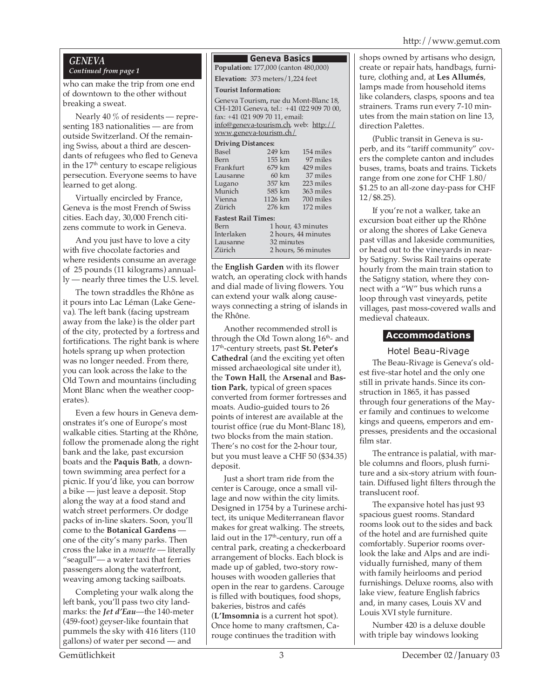#### http://www.gemut.com

#### *GENEVA Continued from page 1*

who can make the trip from one end of downtown to the other without breaking a sweat.

Nearly 40 % of residents — representing 183 nationalities — are from outside Switzerland. Of the remaining Swiss, about a third are descendants of refugees who fled to Geneva in the  $17<sup>th</sup>$  century to escape religious persecution. Everyone seems to have learned to get along.

Virtually encircled by France, Geneva is the most French of Swiss cities. Each day, 30,000 French citizens commute to work in Geneva.

And you just have to love a city with five chocolate factories and where residents consume an average of 25 pounds (11 kilograms) annually — nearly three times the U.S. level.

The town straddles the Rhône as it pours into Lac Léman (Lake Geneva). The left bank (facing upstream away from the lake) is the older part of the city, protected by a fortress and fortifications. The right bank is where hotels sprang up when protection was no longer needed. From there, you can look across the lake to the Old Town and mountains (including Mont Blanc when the weather cooperates).

Even a few hours in Geneva demonstrates it's one of Europe's most walkable cities. Starting at the Rhône, follow the promenade along the right bank and the lake, past excursion boats and the **Paquis Bath**, a downtown swimming area perfect for a picnic. If you'd like, you can borrow a bike — just leave a deposit. Stop along the way at a food stand and watch street performers. Or dodge packs of in-line skaters. Soon, you'll come to the **Botanical Gardens** one of the city's many parks. Then cross the lake in a *mouette* — literally "seagull"— a water taxi that ferries passengers along the waterfront, weaving among tacking sailboats.

Completing your walk along the left bank, you'll pass two city landmarks: the *Jet d'Eau*—the 140-meter (459-foot) geyser-like fountain that pummels the sky with 416 liters (110 gallons) of water per second — and

#### **Geneva Basics**

**Population:** 177,000 (canton 480,000)

**Elevation:** 373 meters/1,224 feet

**Tourist Information:**

Geneva Tourism**,** rue du Mont-Blanc 18, CH-1201 Geneva, tel.: +41 022 909 70 00, fax: +41 021 909 70 11, email: info@geneva-tourism.ch, web: http:// www.geneva-tourism.ch/

# **Driving Distances:**

|                            | 154 miles                                                                                          |  |  |  |  |  |
|----------------------------|----------------------------------------------------------------------------------------------------|--|--|--|--|--|
|                            | 97 miles                                                                                           |  |  |  |  |  |
|                            | 429 miles                                                                                          |  |  |  |  |  |
|                            | 37 miles                                                                                           |  |  |  |  |  |
|                            | 223 miles                                                                                          |  |  |  |  |  |
|                            | 363 miles                                                                                          |  |  |  |  |  |
|                            | 700 miles                                                                                          |  |  |  |  |  |
|                            | 172 miles                                                                                          |  |  |  |  |  |
| <b>Fastest Rail Times:</b> |                                                                                                    |  |  |  |  |  |
| 1 hour, 43 minutes         |                                                                                                    |  |  |  |  |  |
| 2 hours, 44 minutes        |                                                                                                    |  |  |  |  |  |
| 32 minutes                 |                                                                                                    |  |  |  |  |  |
| 2 hours, 56 minutes        |                                                                                                    |  |  |  |  |  |
|                            | 249 km<br>$155 \mathrm{km}$<br>679 km<br>$60 \mathrm{km}$<br>357 km<br>585 km<br>1126 km<br>276 km |  |  |  |  |  |

the **English Garden** with its flower watch, an operating clock with hands and dial made of living flowers. You can extend your walk along causeways connecting a string of islands in the Rhône.

Another recommended stroll is through the Old Town along  $16<sup>th</sup>$ - and 17th-century streets, past **St. Peter's Cathedral** (and the exciting yet often missed archaeological site under it), the **Town Hall**, the **Arsenal** and **Bastion Park**, typical of green spaces converted from former fortresses and moats. Audio-guided tours to 26 points of interest are available at the tourist office (rue du Mont-Blanc 18), two blocks from the main station. There's no cost for the 2-hour tour, but you must leave a CHF 50 (\$34.35) deposit.

Just a short tram ride from the center is Carouge, once a small village and now within the city limits. Designed in 1754 by a Turinese architect, its unique Mediterranean flavor makes for great walking. The streets, laid out in the  $17<sup>th</sup>$ -century, run off a central park, creating a checkerboard arrangement of blocks. Each block is made up of gabled, two-story rowhouses with wooden galleries that open in the rear to gardens. Carouge is filled with boutiques, food shops, bakeries, bistros and cafés (**L'Imsomnia** is a current hot spot). Once home to many craftsmen, Carouge continues the tradition with

shops owned by artisans who design, create or repair hats, handbags, furniture, clothing and, at **Les Allumés**, lamps made from household items like colanders, clasps, spoons and tea strainers. Trams run every 7-10 minutes from the main station on line 13, direction Palettes.

(Public transit in Geneva is superb, and its "tariff community" covers the complete canton and includes buses, trams, boats and trains. Tickets range from one zone for CHF 1.80/ \$1.25 to an all-zone day-pass for CHF 12/\$8.25).

If you're not a walker, take an excursion boat either up the Rhône or along the shores of Lake Geneva past villas and lakeside communities, or head out to the vineyards in nearby Satigny. Swiss Rail trains operate hourly from the main train station to the Satigny station, where they connect with a "W" bus which runs a loop through vast vineyards, petite villages, past moss-covered walls and medieval chateaux.

## **Accommodations**

Hotel Beau-Rivage

The Beau-Rivage is Geneva's oldest five-star hotel and the only one still in private hands. Since its construction in 1865, it has passed through four generations of the Mayer family and continues to welcome kings and queens, emperors and empresses, presidents and the occasional film star.

The entrance is palatial, with marble columns and floors, plush furniture and a six-story atrium with fountain. Diffused light filters through the translucent roof.

The expansive hotel has just 93 spacious guest rooms. Standard rooms look out to the sides and back of the hotel and are furnished quite comfortably. Superior rooms overlook the lake and Alps and are individually furnished, many of them with family heirlooms and period furnishings. Deluxe rooms, also with lake view, feature English fabrics and, in many cases, Louis XV and Louis XVI style furniture.

Number 420 is a deluxe double with triple bay windows looking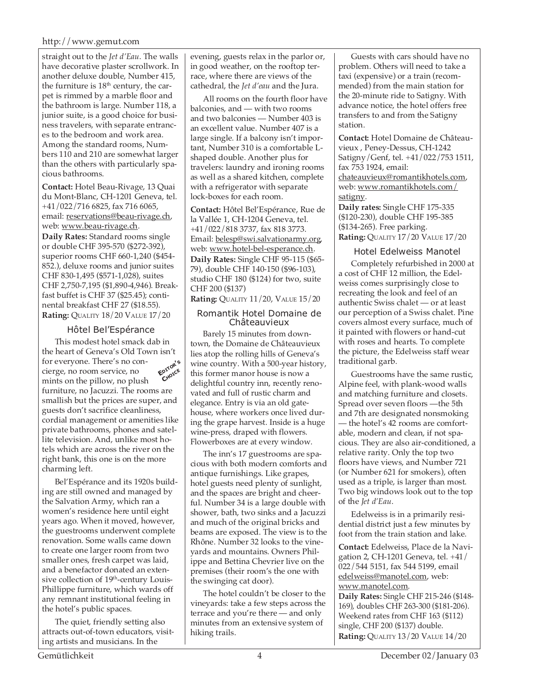#### http://www.gemut.com

straight out to the *Jet d'Eau*. The walls have decorative plaster scrollwork. In another deluxe double, Number 415, the furniture is  $18<sup>th</sup>$  century, the carpet is rimmed by a marble floor and the bathroom is large. Number 118, a junior suite, is a good choice for business travelers, with separate entrances to the bedroom and work area. Among the standard rooms, Numbers 110 and 210 are somewhat larger than the others with particularly spacious bathrooms.

**Contact:** Hotel Beau-Rivage, 13 Quai du Mont-Blanc, CH-1201 Geneva, tel. +41/022/716 6825, fax 716 6065, email: reservations@beau-rivage.ch, web: www.beau-rivage.ch. **Daily Rates:** Standard rooms single or double CHF 395-570 (\$272-392), superior rooms CHF 660-1,240 (\$454- 852.), deluxe rooms and junior suites CHF 830-1,495 (\$571-1,028), suites CHF 2,750-7,195 (\$1,890-4,946). Breakfast buffet is CHF 37 (\$25.45); continental breakfast CHF 27 (\$18.55). **Rating:** QUALITY 18/20 VALUE 17/20

# Hôtel Bel'Espérance

This modest hotel smack dab in the heart of Geneva's Old Town isn't for everyone. There's no concierge, no room service, no mints on the pillow, no plush furniture, no Jacuzzi. The rooms are smallish but the prices are super, and guests don't sacrifice cleanliness, cordial management or amenities like private bathrooms, phones and satellite television. And, unlike most hotels which are across the river on the right bank, this one is on the more charming left. **EDITOR'<sup>S</sup> CHOICE**

Bel'Espérance and its 1920s building are still owned and managed by the Salvation Army, which ran a women's residence here until eight years ago. When it moved, however, the guestrooms underwent complete renovation. Some walls came down to create one larger room from two smaller ones, fresh carpet was laid, and a benefactor donated an extensive collection of 19<sup>th</sup>-century Louis-Phillippe furniture, which wards off any remnant institutional feeling in the hotel's public spaces.

The quiet, friendly setting also attracts out-of-town educators, visiting artists and musicians. In the

evening, guests relax in the parlor or, in good weather, on the rooftop terrace, where there are views of the cathedral, the *Jet d'eau* and the Jura.

All rooms on the fourth floor have balconies, and — with two rooms and two balconies — Number 403 is an excellent value. Number 407 is a large single. If a balcony isn't important, Number 310 is a comfortable Lshaped double. Another plus for travelers: laundry and ironing rooms as well as a shared kitchen, complete with a refrigerator with separate lock-boxes for each room.

**Contact:** Hôtel Bel'Espérance, Rue de la Vallée 1, CH-1204 Geneva, tel. +41/022/818 3737, fax 818 3773. Email: belesp@swi.salvationarmy.org, web: www.hotel-bel-esperance.ch. **Daily Rates:** Single CHF 95-115 (\$65- 79), double CHF 140-150 (\$96-103), studio CHF 180 (\$124) for two, suite CHF 200 (\$137)

## **Rating:** QUALITY 11/20, VALUE 15/20

#### Romantik Hotel Domaine de Châteauvieux

Barely 15 minutes from downtown, the Domaine de Châteauvieux lies atop the rolling hills of Geneva's wine country. With a 500-year history, this former manor house is now a delightful country inn, recently renovated and full of rustic charm and elegance. Entry is via an old gatehouse, where workers once lived during the grape harvest. Inside is a huge wine-press, draped with flowers. Flowerboxes are at every window.

The inn's 17 guestrooms are spacious with both modern comforts and antique furnishings. Like grapes, hotel guests need plenty of sunlight, and the spaces are bright and cheerful. Number 34 is a large double with shower, bath, two sinks and a Jacuzzi and much of the original bricks and beams are exposed. The view is to the Rhône. Number 32 looks to the vineyards and mountains. Owners Philippe and Bettina Chevrier live on the premises (their room's the one with the swinging cat door).

The hotel couldn't be closer to the vineyards: take a few steps across the terrace and you're there — and only minutes from an extensive system of hiking trails.

Guests with cars should have no problem. Others will need to take a taxi (expensive) or a train (recommended) from the main station for the 20-minute ride to Satigny. With advance notice, the hotel offers free transfers to and from the Satigny station.

**Contact:** Hotel Domaine de Châteauvieux , Peney-Dessus, CH-1242 Satigny/Genf, tel. +41/022/753 1511, fax 753 1924, email: chateauvieux@romantikhotels.com, web: www.romantikhotels.com/ satigny.

**Daily rates:** Single CHF 175-335 (\$120-230), double CHF 195-385 (\$134-265). Free parking. **Rating:** QUALITY 17/20 VALUE 17/20

## Hotel Edelweiss Manotel

Completely refurbished in 2000 at a cost of CHF 12 million, the Edelweiss comes surprisingly close to recreating the look and feel of an authentic Swiss chalet — or at least our perception of a Swiss chalet. Pine covers almost every surface, much of it painted with flowers or hand-cut with roses and hearts. To complete the picture, the Edelweiss staff wear traditional garb.

Guestrooms have the same rustic, Alpine feel, with plank-wood walls and matching furniture and closets. Spread over seven floors —the 5th and 7th are designated nonsmoking — the hotel's 42 rooms are comfortable, modern and clean, if not spacious. They are also air-conditioned, a relative rarity. Only the top two floors have views, and Number 721 (or Number 621 for smokers), often used as a triple, is larger than most. Two big windows look out to the top of the *Jet d'Eau*.

Edelweiss is in a primarily residential district just a few minutes by foot from the train station and lake.

**Contact:** Edelweiss, Place de la Navigation 2, CH-1201 Geneva, tel. +41/ 022/544 5151, fax 544 5199, email edelweiss@manotel.com, web: www.manotel.com.

**Daily Rates:** Single CHF 215-246 (\$148- 169), doubles CHF 263-300 (\$181-206). Weekend rates from CHF 163 (\$112) single, CHF 200 (\$137) double. **Rating:** QUALITY 13/20 VALUE 14/20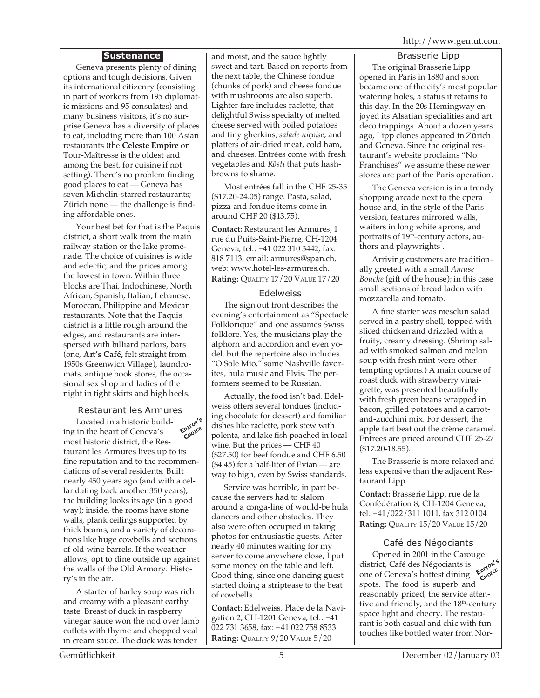# **Sustenance**

Geneva presents plenty of dining options and tough decisions. Given its international citizenry (consisting in part of workers from 195 diplomatic missions and 95 consulates) and many business visitors, it's no surprise Geneva has a diversity of places to eat, including more than 100 Asian restaurants (the **Celeste Empire** on Tour-Maîtresse is the oldest and among the best, for cuisine if not setting). There's no problem finding good places to eat — Geneva has seven Michelin-starred restaurants; Zürich none — the challenge is finding affordable ones.

Your best bet for that is the Paquis district, a short walk from the main railway station or the lake promenade. The choice of cuisines is wide and eclectic, and the prices among the lowest in town. Within three blocks are Thai, Indochinese, North African, Spanish, Italian, Lebanese, Moroccan, Philippine and Mexican restaurants. Note that the Paquis district is a little rough around the edges, and restaurants are interspersed with billiard parlors, bars (one, **Art's Café,** felt straight from 1950s Greenwich Village), laundromats, antique book stores, the occasional sex shop and ladies of the night in tight skirts and high heels.

#### Restaurant les Armures

Located in a historic building in the heart of Geneva's most historic district, the Restaurant les Armures lives up to its fine reputation and to the recommendations of several residents. Built nearly 450 years ago (and with a cellar dating back another 350 years), the building looks its age (in a good way); inside, the rooms have stone walls, plank ceilings supported by thick beams, and a variety of decorations like huge cowbells and sections of old wine barrels. If the weather allows, opt to dine outside up against the walls of the Old Armory. History's in the air. **EDITOR'<sup>S</sup> CHOICE**

A starter of barley soup was rich and creamy with a pleasant earthy taste. Breast of duck in raspberry vinegar sauce won the nod over lamb cutlets with thyme and chopped veal in cream sauce. The duck was tender

and moist, and the sauce lightly sweet and tart. Based on reports from the next table, the Chinese fondue (chunks of pork) and cheese fondue with mushrooms are also superb. Lighter fare includes raclette, that delightful Swiss specialty of melted cheese served with boiled potatoes and tiny gherkins; *salade niçoise*; and platters of air-dried meat, cold ham, and cheeses. Entrées come with fresh vegetables and *Rösti* that puts hashbrowns to shame.

Most entrées fall in the CHF 25-35 (\$17.20-24.05) range. Pasta, salad, pizza and fondue items come in around CHF 20 (\$13.75).

**Contact:** Restaurant les Armures, 1 rue du Puits-Saint-Pierre, CH-1204 Geneva, tel.: +41 022 310 3442, fax: 818 7113, email: armures@span.ch, web: www.hotel-les-armures.ch. **Rating:** QUALITY 17/20 VALUE 17/20

## Edelweiss

The sign out front describes the evening's entertainment as "Spectacle Folklorique" and one assumes Swiss folklore. Yes, the musicians play the alphorn and accordion and even yodel, but the repertoire also includes "O Sole Mio," some Nashville favorites, hula music and Elvis. The performers seemed to be Russian.

Actually, the food isn't bad. Edelweiss offers several fondues (including chocolate for dessert) and familiar dishes like raclette, pork stew with polenta, and lake fish poached in local wine. But the prices — CHF 40 (\$27.50) for beef fondue and CHF 6.50 (\$4.45) for a half-liter of Evian — are way to high, even by Swiss standards.

Service was horrible, in part because the servers had to slalom around a conga-line of would-be hula dancers and other obstacles. They also were often occupied in taking photos for enthusiastic guests. After nearly 40 minutes waiting for my server to come anywhere close, I put some money on the table and left. Good thing, since one dancing guest started doing a striptease to the beat of cowbells.

**Contact:** Edelweiss, Place de la Navigation 2, CH-1201 Geneva, tel.: +41 022 731 3658, fax: +41 022 758 8533. **Rating:** QUALITY 9/20 VALUE 5/20

Brasserie Lipp The original Brasserie Lipp opened in Paris in 1880 and soon became one of the city's most popular watering holes, a status it retains to this day. In the 20s Hemingway enjoyed its Alsatian specialities and art deco trappings. About a dozen years ago, Lipp clones appeared in Zürich and Geneva. Since the original restaurant's website proclaims "No Franchises" we assume these newer stores are part of the Paris operation.

The Geneva version is in a trendy shopping arcade next to the opera house and, in the style of the Paris version, features mirrored walls, waiters in long white aprons, and portraits of 19<sup>th</sup>-century actors, authors and playwrights .

Arriving customers are traditionally greeted with a small *Amuse Bouche* (gift of the house); in this case small sections of bread laden with mozzarella and tomato.

A fine starter was mesclun salad served in a pastry shell, topped with sliced chicken and drizzled with a fruity, creamy dressing. (Shrimp salad with smoked salmon and melon soup with fresh mint were other tempting options.) A main course of roast duck with strawberry vinaigrette, was presented beautifully with fresh green beans wrapped in bacon, grilled potatoes and a carrotand-zucchini mix. For dessert, the apple tart beat out the crème caramel. Entrees are priced around CHF 25-27 (\$17.20-18.55).

The Brasserie is more relaxed and less expensive than the adjacent Restaurant Lipp.

**Contact:** Brasserie Lipp, rue de la Confédération 8, CH-1204 Geneva, tel. +41/022/311 1011, fax 312 0104 **Rating:** QUALITY 15/20 VALUE 15/20

# Café des Négociants

**EDITOR'<sup>S</sup> CHOICE** Opened in 2001 in the Carouge district, Café des Négociants is one of Geneva's hottest dining spots. The food is superb and reasonably priced, the service attentive and friendly, and the 18<sup>th</sup>-century space light and cheery. The restaurant is both casual and chic with fun touches like bottled water from Nor-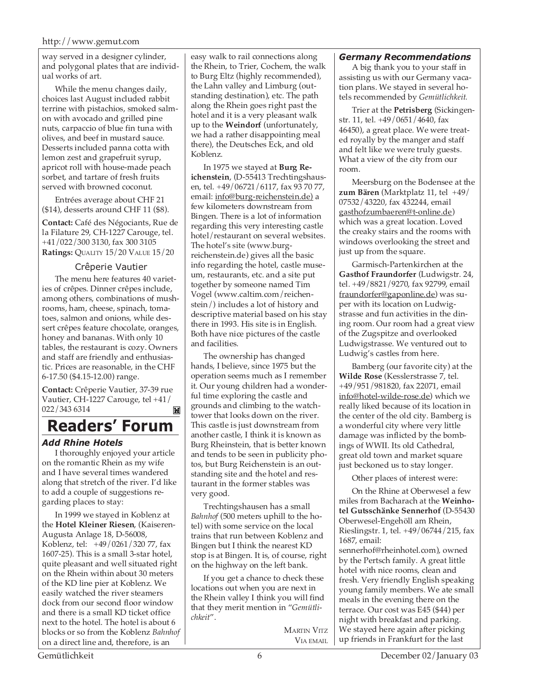way served in a designer cylinder, and polygonal plates that are individual works of art.

While the menu changes daily, choices last August included rabbit terrine with pistachios, smoked salmon with avocado and grilled pine nuts, carpaccio of blue fin tuna with olives, and beef in mustard sauce. Desserts included panna cotta with lemon zest and grapefruit syrup, apricot roll with house-made peach sorbet, and tartare of fresh fruits served with browned coconut.

Entrées average about CHF 21 (\$14), desserts around CHF 11 (\$8).

**Contact:** Café des Négociants, Rue de la Filature 29, CH-1227 Carouge, tel. +41/022/300 3130, fax 300 3105 **Ratings:** QUALITY 15/20 VALUE 15/20

#### Crêperie Vautier

The menu here features 40 varieties of crêpes. Dinner crêpes include, among others, combinations of mushrooms, ham, cheese, spinach, tomatoes, salmon and onions, while dessert crêpes feature chocolate, oranges, honey and bananas. With only 10 tables, the restaurant is cozy. Owners and staff are friendly and enthusiastic. Prices are reasonable, in the CHF 6-17.50 (\$4.15-12.00) range.

**Contact:** Crêperie Vautier, 37-39 rue Vautier, CH-1227 Carouge, tel +41/ 022/343 6314  $\mathbf{M}$ 

# **Readers' Forum**

## *Add Rhine Hotels*

I thoroughly enjoyed your article on the romantic Rhein as my wife and I have several times wandered along that stretch of the river. I'd like to add a couple of suggestions regarding places to stay:

In 1999 we stayed in Koblenz at the **Hotel Kleiner Riesen**, (Kaiseren-Augusta Anlage 18, D-56008, Koblenz, tel: +49/0261/320 77, fax 1607-25). This is a small 3-star hotel, quite pleasant and well situated right on the Rhein within about 30 meters of the KD line pier at Koblenz. We easily watched the river steamers dock from our second floor window and there is a small KD ticket office next to the hotel. The hotel is about 6 blocks or so from the Koblenz *Bahnhof* on a direct line and, therefore, is an

easy walk to rail connections along the Rhein, to Trier, Cochem, the walk to Burg Eltz (highly recommended), the Lahn valley and Limburg (outstanding destination), etc. The path along the Rhein goes right past the hotel and it is a very pleasant walk up to the **Weindorf** (unfortunately, we had a rather disappointing meal there), the Deutsches Eck, and old Koblenz.

In 1975 we stayed at **Burg Reichenstein**, (D-55413 Trechtingshausen, tel. +49/06721/6117, fax 93 70 77, email: info@burg-reichenstein.de) a few kilometers downstream from Bingen. There is a lot of information regarding this very interesting castle hotel/restaurant on several websites. The hotel's site (www.burgreichenstein.de) gives all the basic info regarding the hotel, castle museum, restaurants, etc. and a site put together by someone named Tim Vogel (www.caltim.com/reichenstein/) includes a lot of history and descriptive material based on his stay there in 1993. His site is in English. Both have nice pictures of the castle and facilities.

The ownership has changed hands, I believe, since 1975 but the operation seems much as I remember it. Our young children had a wonderful time exploring the castle and grounds and climbing to the watchtower that looks down on the river. This castle is just downstream from another castle, I think it is known as Burg Rheinstein, that is better known and tends to be seen in publicity photos, but Burg Reichenstein is an outstanding site and the hotel and restaurant in the former stables was very good.

Trechtingshausen has a small *Bahnhof* (500 meters uphill to the hotel) with some service on the local trains that run between Koblenz and Bingen but I think the nearest KD stop is at Bingen. It is, of course, right on the highway on the left bank.

If you get a chance to check these locations out when you are next in the Rhein valley I think you will find that they merit mention in "*Gemütlichkeit*".

> MARTIN VITZ VIA EMAIL

# *Germany Recommendations*

A big thank you to your staff in assisting us with our Germany vacation plans. We stayed in several hotels recommended by *Gemütlichkeit.*

Trier at the **Petrisberg** (Sickingenstr. 11, tel. +49/0651/4640, fax 46450), a great place. We were treated royally by the manger and staff and felt like we were truly guests. What a view of the city from our room.

Meersburg on the Bodensee at the **zum Bären** (Marktplatz 11, tel +49/ 07532/43220, fax 432244, email gasthofzumbaeren@t-online.de) which was a great location. Loved the creaky stairs and the rooms with windows overlooking the street and just up from the square.

Garmisch-Partenkirchen at the **Gasthof Fraundorfer** (Ludwigstr. 24, tel. +49/8821/9270, fax 92799, email fraundorfer@gaponline.de) was super with its location on Ludwigstrasse and fun activities in the dining room. Our room had a great view of the Zugspitze and overlooked Ludwigstrasse. We ventured out to Ludwig's castles from here.

Bamberg (our favorite city) at the **Wilde Rose** (Kesslerstrasse 7, tel. +49/951/981820, fax 22071, email info@hotel-wilde-rose.de) which we really liked because of its location in the center of the old city. Bamberg is a wonderful city where very little damage was inflicted by the bombings of WWII. Its old Cathedral, great old town and market square just beckoned us to stay longer.

Other places of interest were:

On the Rhine at Oberwesel a few miles from Bacharach at the **Weinhotel Gutsschänke Sennerhof** (D-55430 Oberwesel-Engehöll am Rhein, Rieslingstr. 1, tel. +49/06744/215, fax 1687, email:

sennerhof@rheinhotel.com), owned by the Pertsch family. A great little hotel with nice rooms, clean and fresh. Very friendly English speaking young family members. We ate small meals in the evening there on the terrace. Our cost was E45 (\$44) per night with breakfast and parking. We stayed here again after picking up friends in Frankfurt for the last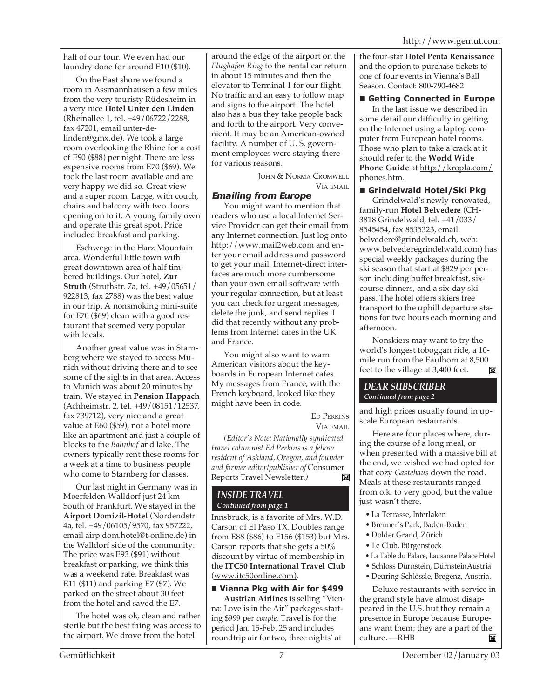half of our tour. We even had our laundry done for around E10 (\$10).

On the East shore we found a room in Assmannhausen a few miles from the very touristy Rüdesheim in a very nice **Hotel Unter den Linden** (Rheinallee 1, tel. +49/06722/2288, fax 47201, email unter-delinden@gmx.de). We took a large room overlooking the Rhine for a cost of E90 (\$88) per night. There are less expensive rooms from E70 (\$69). We took the last room available and are very happy we did so. Great view and a super room. Large, with couch, chairs and balcony with two doors opening on to it. A young family own and operate this great spot. Price included breakfast and parking.

Eschwege in the Harz Mountain area. Wonderful little town with great downtown area of half timbered buildings. Our hotel, **Zur Struth** (Struthstr. 7a, tel. +49/05651/ 922813, fax 2788) was the best value in our trip. A nonsmoking mini-suite for E70 (\$69) clean with a good restaurant that seemed very popular with locals.

Another great value was in Starnberg where we stayed to access Munich without driving there and to see some of the sights in that area. Access to Munich was about 20 minutes by train. We stayed in **Pension Happach** (Achheimstr. 2, tel. +49/08151/12537, fax 739712), very nice and a great value at E60 (\$59), not a hotel more like an apartment and just a couple of blocks to the *Bahnhof* and lake. The owners typically rent these rooms for a week at a time to business people who come to Starnberg for classes.

Our last night in Germany was in Moerfelden-Walldorf just 24 km South of Frankfurt. We stayed in the **Airport Domizil-Hotel** (Nordendstr. 4a, tel. +49/06105/9570, fax 957222, email airp.dom.hotel@t-online.de) in the Walldorf side of the community. The price was E93 (\$91) without breakfast or parking, we think this was a weekend rate. Breakfast was E11 (\$11) and parking E7 (\$7). We parked on the street about 30 feet from the hotel and saved the E7.

The hotel was ok, clean and rather sterile but the best thing was access to the airport. We drove from the hotel

around the edge of the airport on the *Flughafen Ring* to the rental car return in about 15 minutes and then the elevator to Terminal 1 for our flight. No traffic and an easy to follow map and signs to the airport. The hotel also has a bus they take people back and forth to the airport. Very convenient. It may be an American-owned facility. A number of U. S. government employees were staying there for various reasons.

> JOHN & NORMA CROMWELL VIA EMAIL

# **Emailing from Europe**

You might want to mention that readers who use a local Internet Service Provider can get their email from any Internet connection. Just log onto http://www.mail2web.com and enter your email address and password to get your mail. Internet-direct interfaces are much more cumbersome than your own email software with your regular connection, but at least you can check for urgent messages, delete the junk, and send replies. I did that recently without any problems from Internet cafes in the UK and France.

You might also want to warn American visitors about the keyboards in European Internet cafes. My messages from France, with the French keyboard, looked like they might have been in code.

> ED PERKINS VIA EMAIL

*(Editor's Note: Nationally syndicated travel columnist Ed Perkins is a fellow resident of Ashland, Oregon, and founder and former editor/publisher of* Consumer Reports Travel Newsletter*.)*  $\mathbb{N}$ 

## *INSIDE TRAVEL Continued from page 1*

Innsbruck, is a favorite of Mrs. W.D. Carson of El Paso TX. Doubles range from E88 (\$86) to E156 (\$153) but Mrs. Carson reports that she gets a 50% discount by virtue of membership in the **ITC50 International Travel Club** (www.itc50online.com).

# **Vienna Pkg with Air for \$499**

**Austrian Airlines** is selling "Vienna: Love is in the Air" packages starting \$999 per *couple*. Travel is for the period Jan. 15-Feb. 25 and includes roundtrip air for two, three nights' at

the four-star **Hotel Penta Renaissance** and the option to purchase tickets to one of four events in Vienna's Ball Season. Contact: 800-790-4682

#### **Getting Connected in Europe**

In the last issue we described in some detail our difficulty in getting on the Internet using a laptop computer from European hotel rooms. Those who plan to take a crack at it should refer to the **World Wide** Phone Guide at http://kropla.com/ phones.htm.

## **Grindelwald Hotel/Ski Pkg**

Grindelwald's newly-renovated, family-run **Hotel Belvedere** (CH-3818 Grindelwald, tel. +41/033/ 8545454, fax 8535323, email: belvedere@grindelwald.ch, web: www.belvederegrindelwald.com) has special weekly packages during the ski season that start at \$829 per person including buffet breakfast, sixcourse dinners, and a six-day ski pass. The hotel offers skiers free transport to the uphill departure stations for two hours each morning and afternoon.

Nonskiers may want to try the world's longest toboggan ride, a 10 mile run from the Faulhorn at 8,500 feet to the village at 3,400 feet.M

#### *DEAR SUBSCRIBER Continued from page 2*

and high prices usually found in upscale European restaurants.

Here are four places where, during the course of a long meal, or when presented with a massive bill at the end, we wished we had opted for that cozy *Gästehaus* down the road. Meals at these restaurants ranged from o.k. to very good, but the value just wasn't there.

- La Terrasse, Interlaken
- Brenner's Park, Baden-Baden
- Dolder Grand, Zürich
- Le Club, Bürgenstock
- La Table du Palace, Lausanne Palace Hotel
- Schloss Dürnstein, DürnsteinAustria
- Deuring-Schlössle, Bregenz, Austria.

Deluxe restaurants with service in the grand style have almost disappeared in the U.S. but they remain a presence in Europe because Europeans want them; they are a part of the culture. —RHB  $\blacksquare$